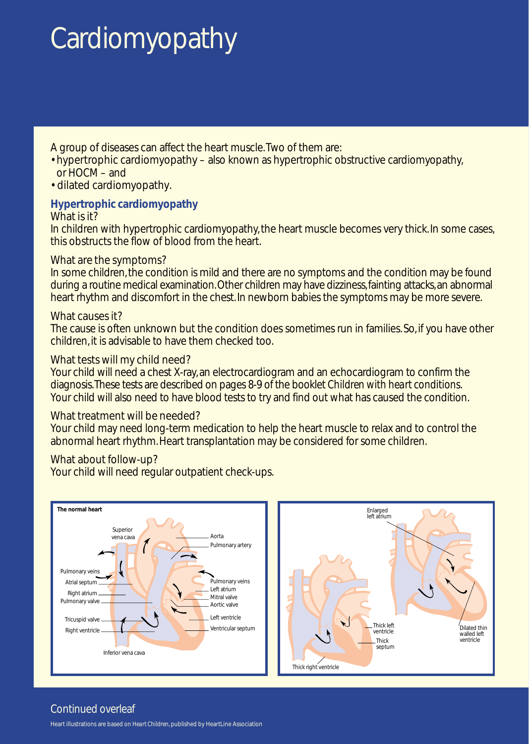# **Cardiomyopathy**

A group of diseases can affect the heart muscle.Two of them are:

- hypertrophic cardiomyopathy also known as hypertrophic obstructive cardiomyopathy, or HOCM – and
- dilated cardiomyopathy.

#### **Hypertrophic cardiomyopathy** What is it?

In children with hypertrophic cardiomyopathy, the heart muscle becomes very thick. In some cases, this obstructs the flow of blood from the heart.

## What are the symptoms?

In some children, the condition is mild and there are no symptoms and the condition may be found during a routine medical examination.Other children may have dizziness, fainting attacks, an abnormal heart rhythm and discomfort in the chest. In newborn babies the symptoms may be more severe.

#### What causes it?

The cause is often unknown but the condition does sometimes run in families. So, if you have other children, it is advisable to have them checked too.

### What tests will my child need?

Your child will need a chest X-ray, an electrocardiogram and an echocardiogram to confirm the diagnosis.These tests are described on pages 8-9 of the booklet Children with heart conditions. Your child will also need to have blood tests to try and find out what has caused the condition.

#### What treatment will be needed?

Your child may need long-term medication to help the heart muscle to relax and to control the abnormal heart rhythm. Heart transplantation may be considered for some children.

#### What about follow-up?

Your child will need regular outpatient check-ups.



## Continued overleaf

Heart illustrations are based on *Heart Children*, published by HeartLine Association